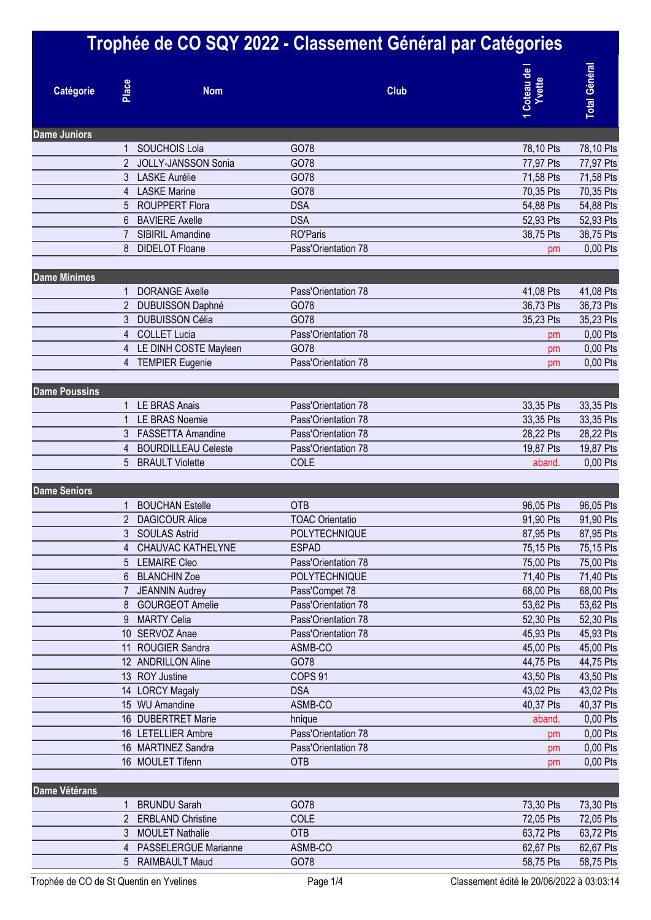|                      |                | Trophée de CO SQY 2022 - Classement Général par Catégories |                                   |             |                         |                        |
|----------------------|----------------|------------------------------------------------------------|-----------------------------------|-------------|-------------------------|------------------------|
| Catégorie            | Place          | <b>Nom</b>                                                 |                                   | <b>Club</b> | 1 Coteau de l<br>Yvette | <b>Total Général</b>   |
| <b>Dame Juniors</b>  |                |                                                            |                                   |             |                         |                        |
|                      |                | <b>SOUCHOIS Lola</b>                                       | GO78                              |             | 78,10 Pts               | 78,10 Pts              |
|                      | $\overline{2}$ | <b>JOLLY-JANSSON Sonia</b>                                 | GO78                              |             | 77,97 Pts               | 77,97 Pts              |
|                      | 3              | <b>LASKE Aurélie</b>                                       | GO78                              |             | 71,58 Pts               | 71,58 Pts              |
|                      | $\overline{4}$ | <b>LASKE Marine</b>                                        | GO78                              |             | 70,35 Pts               | 70,35 Pts              |
|                      | 5              | <b>ROUPPERT Flora</b>                                      | <b>DSA</b>                        |             | 54,88 Pts               | 54,88 Pts              |
|                      | 6              | <b>BAVIERE Axelle</b>                                      | <b>DSA</b>                        |             | 52,93 Pts               | 52,93 Pts              |
|                      |                | SIBIRIL Amandine                                           | <b>RO'Paris</b>                   |             | 38,75 Pts               | 38,75 Pts              |
|                      | 8              | <b>DIDELOT Floane</b>                                      | Pass'Orientation 78               |             | pm                      | 0,00 Pts               |
| <b>Dame Minimes</b>  |                |                                                            |                                   |             |                         |                        |
|                      |                | <b>DORANGE Axelle</b>                                      | Pass'Orientation 78               |             | 41,08 Pts               | 41,08 Pts              |
|                      | $\overline{2}$ | DUBUISSON Daphné                                           | GO78                              |             | 36,73 Pts               | 36,73 Pts              |
|                      |                | <b>DUBUISSON Célia</b>                                     | GO78                              |             | 35,23 Pts               | 35,23 Pts              |
|                      | 4              | <b>COLLET Lucia</b>                                        | Pass'Orientation 78               |             | pm                      | 0,00 Pts               |
|                      | 4              | LE DINH COSTE Mayleen                                      | GO78                              |             | pm                      | 0,00 Pts               |
|                      | 4              | <b>TEMPIER Eugenie</b>                                     | Pass'Orientation 78               |             | pm                      | 0,00 Pts               |
| <b>Dame Poussins</b> |                |                                                            |                                   |             |                         |                        |
|                      |                | <b>LE BRAS Anais</b>                                       | Pass'Orientation 78               |             | 33,35 Pts               | 33,35 Pts              |
|                      |                | <b>LE BRAS Noemie</b>                                      | Pass'Orientation 78               |             | 33,35 Pts               | 33,35 Pts              |
|                      | 3              | <b>FASSETTA Amandine</b>                                   | Pass'Orientation 78               |             | 28,22 Pts               | 28,22 Pts              |
|                      | 4              | <b>BOURDILLEAU Celeste</b>                                 | Pass'Orientation 78               |             | 19,87 Pts               | 19,87 Pts              |
|                      | 5              | <b>BRAULT Violette</b>                                     | COLE                              |             | aband.                  | 0,00 Pts               |
| <b>Dame Seniors</b>  |                |                                                            |                                   |             |                         |                        |
|                      |                | <b>BOUCHAN Estelle</b>                                     | <b>OTB</b>                        |             | 96,05 Pts               | 96,05 Pts              |
|                      |                | <b>DAGICOUR Alice</b>                                      | <b>TOAC Orientatio</b>            |             | 91,90 Pts               | 91,90 Pts              |
|                      |                | 3 SOULAS Astrid                                            | POLYTECHNIQUE                     |             | 87,95 Pts               | 87,95 Pts              |
|                      | 4              | <b>CHAUVAC KATHELYNE</b>                                   | <b>ESPAD</b>                      |             | 75,15 Pts               | 75,15 Pts              |
|                      |                | <b>LEMAIRE Cleo</b>                                        | Pass'Orientation 78               |             | 75,00 Pts               | 75,00 Pts              |
|                      | 6              | <b>BLANCHIN Zoe</b>                                        | POLYTECHNIQUE                     |             | 71,40 Pts               | 71,40 Pts              |
|                      |                | <b>JEANNIN Audrey</b>                                      | Pass'Compet 78                    |             | 68,00 Pts               | 68,00 Pts              |
|                      | 8              | <b>GOURGEOT Amelie</b>                                     | Pass'Orientation 78               |             | 53,62 Pts               | 53,62 Pts              |
|                      | 9              | <b>MARTY Celia</b>                                         | Pass'Orientation 78               |             | 52,30 Pts               | 52,30 Pts              |
|                      |                | 10 SERVOZ Anae                                             | Pass'Orientation 78               |             | 45,93 Pts               | 45,93 Pts              |
|                      |                | 11 ROUGIER Sandra                                          | ASMB-CO                           |             | 45,00 Pts               | 45,00 Pts              |
|                      |                | 12 ANDRILLON Aline                                         | GO78                              |             | 44,75 Pts               | 44,75 Pts              |
|                      |                | 13 ROY Justine                                             | COPS <sub>91</sub>                |             | 43,50 Pts               | 43,50 Pts              |
|                      |                | 14 LORCY Magaly                                            | <b>DSA</b>                        |             | 43,02 Pts               | 43,02 Pts              |
|                      |                | 15 WU Amandine                                             | ASMB-CO                           |             | 40,37 Pts               | 40,37 Pts              |
|                      |                | 16 DUBERTRET Marie                                         | hnique                            |             | aband.                  | 0,00 Pts               |
|                      |                | 16 LETELLIER Ambre                                         | Pass'Orientation 78               |             | pm                      | $0,00$ Pts             |
|                      |                | 16 MARTINEZ Sandra<br>16 MOULET Tifenn                     | Pass'Orientation 78<br><b>OTB</b> |             | pm                      | 0,00 Pts<br>0,00 Pts   |
|                      |                |                                                            |                                   |             | pm                      |                        |
| <b>Dame Vétérans</b> |                | <b>BRUNDU Sarah</b>                                        | GO78                              |             | 73,30 Pts               |                        |
|                      |                |                                                            | COLE                              |             |                         | 73,30 Pts              |
|                      | 3              | 2 ERBLAND Christine<br><b>MOULET Nathalie</b>              | <b>OTB</b>                        |             | 72,05 Pts<br>63,72 Pts  | 72,05 Pts<br>63,72 Pts |
|                      | 4              | PASSELERGUE Marianne                                       | ASMB-CO                           |             | 62,67 Pts               | 62,67 Pts              |
|                      |                | 5 RAIMBAULT Maud                                           | GO78                              |             | 58,75 Pts               | 58,75 Pts              |
|                      |                |                                                            |                                   |             |                         |                        |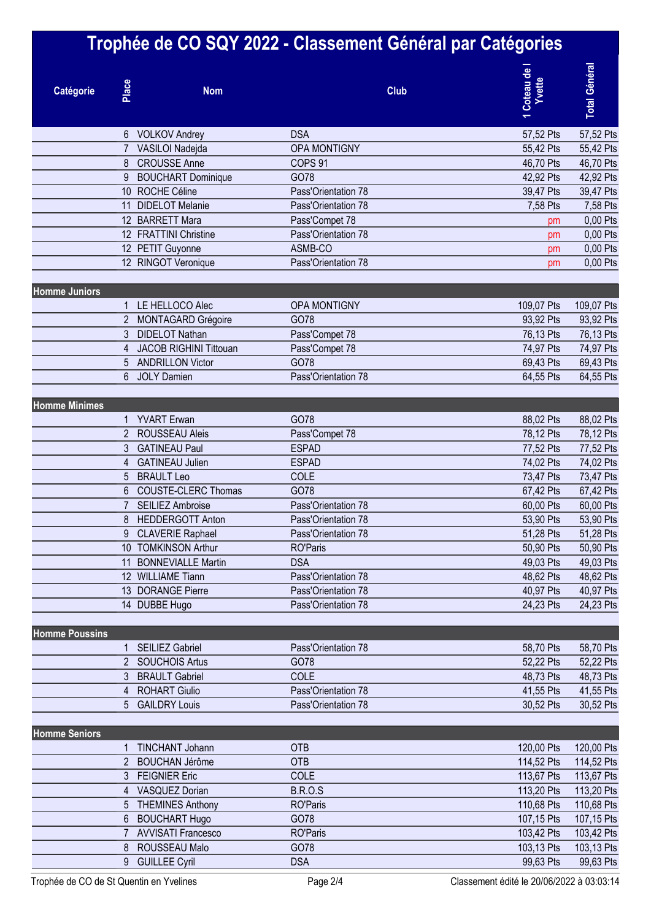|                       |                |                                                   | Trophée de CO SQY 2022 - Classement Général par Catégories |                                                  |
|-----------------------|----------------|---------------------------------------------------|------------------------------------------------------------|--------------------------------------------------|
| Catégorie             | Place          | <b>Nom</b>                                        | <b>Club</b>                                                | <b>Total Général</b><br>Coteau de l<br>Yvette    |
|                       | 6              | <b>VOLKOV Andrey</b>                              | <b>DSA</b>                                                 | 57,52 Pts<br>57,52 Pts                           |
|                       |                | VASILOI Nadejda                                   | <b>OPA MONTIGNY</b>                                        | 55,42 Pts<br>55,42 Pts                           |
|                       | 8              | <b>CROUSSE Anne</b>                               | COPS <sub>91</sub>                                         | 46,70 Pts<br>46,70 Pts                           |
|                       | 9              | <b>BOUCHART Dominique</b>                         | GO78                                                       | 42,92 Pts<br>42,92 Pts                           |
|                       |                | 10 ROCHE Céline                                   | Pass'Orientation 78                                        | 39,47 Pts<br>39,47 Pts                           |
|                       | 11             | <b>DIDELOT Melanie</b>                            | Pass'Orientation 78                                        | 7,58 Pts<br>7,58 Pts                             |
|                       |                | 12 BARRETT Mara                                   | Pass'Compet 78                                             | 0,00 Pts<br>pm                                   |
|                       |                | 12 FRATTINI Christine                             | Pass'Orientation 78                                        | 0,00 Pts<br>pm                                   |
|                       |                | 12 PETIT Guyonne                                  | ASMB-CO                                                    | 0,00 Pts<br>pm                                   |
|                       |                | 12 RINGOT Veronique                               | Pass'Orientation 78                                        | 0,00 Pts<br>pm                                   |
|                       |                |                                                   |                                                            |                                                  |
| <b>Homme Juniors</b>  |                | LE HELLOCO Alec                                   | <b>OPA MONTIGNY</b>                                        | 109,07 Pts<br>109,07 Pts                         |
|                       | 2              | MONTAGARD Grégoire                                | GO78                                                       | 93,92 Pts<br>93,92 Pts                           |
|                       | 3              | <b>DIDELOT Nathan</b>                             | Pass'Compet 78                                             | 76,13 Pts<br>76,13 Pts                           |
|                       | 4              | <b>JACOB RIGHINI Tittouan</b>                     | Pass'Compet 78                                             | 74,97 Pts<br>74,97 Pts                           |
|                       | 5              | <b>ANDRILLON Victor</b>                           | GO78                                                       | 69,43 Pts<br>69,43 Pts                           |
|                       | 6              | <b>JOLY Damien</b>                                | Pass'Orientation 78                                        | 64,55 Pts<br>64,55 Pts                           |
|                       |                |                                                   |                                                            |                                                  |
| <b>Homme Minimes</b>  |                |                                                   |                                                            |                                                  |
|                       |                | <b>YVART</b> Erwan                                | GO78                                                       | 88,02 Pts<br>88,02 Pts                           |
|                       | $\overline{2}$ | <b>ROUSSEAU Aleis</b>                             | Pass'Compet 78                                             | 78,12 Pts<br>78,12 Pts                           |
|                       | 3              | <b>GATINEAU Paul</b>                              | <b>ESPAD</b>                                               | 77,52 Pts<br>77,52 Pts                           |
|                       |                | <b>GATINEAU Julien</b>                            | <b>ESPAD</b>                                               | 74,02 Pts<br>74,02 Pts                           |
|                       | 5              | <b>BRAULT Leo</b>                                 | COLE                                                       | 73,47 Pts<br>73,47 Pts                           |
|                       | 6              | <b>COUSTE-CLERC Thomas</b>                        | GO78                                                       | 67,42 Pts<br>67,42 Pts                           |
|                       |                | <b>SEILIEZ Ambroise</b>                           | Pass'Orientation 78                                        | 60,00 Pts<br>60,00 Pts                           |
|                       |                | 8 HEDDERGOTT Anton                                | Pass'Orientation 78                                        | 53,90 Pts<br>53,90 Pts                           |
|                       | 9              | <b>CLAVERIE Raphael</b>                           | Pass'Orientation 78                                        | 51,28 Pts<br>51,28 Pts                           |
|                       |                | 10 TOMKINSON Arthur                               | <b>RO'Paris</b>                                            | 50,90 Pts<br>50,90 Pts                           |
|                       |                | 11 BONNEVIALLE Martin<br>12 WILLIAME Tiann        | <b>DSA</b><br>Pass'Orientation 78                          | 49,03 Pts<br>49,03 Pts<br>48,62 Pts<br>48,62 Pts |
|                       |                | 13 DORANGE Pierre                                 | Pass'Orientation 78                                        | 40,97 Pts<br>40,97 Pts                           |
|                       |                | 14 DUBBE Hugo                                     | Pass'Orientation 78                                        | 24,23 Pts<br>24,23 Pts                           |
|                       |                |                                                   |                                                            |                                                  |
| <b>Homme Poussins</b> |                |                                                   |                                                            |                                                  |
|                       |                | <b>SEILIEZ Gabriel</b>                            | Pass'Orientation 78                                        | 58,70 Pts<br>58,70 Pts                           |
|                       |                | 2 SOUCHOIS Artus                                  | GO78                                                       | 52,22 Pts<br>52,22 Pts                           |
|                       | 3              | <b>BRAULT Gabriel</b>                             | COLE                                                       | 48,73 Pts<br>48,73 Pts                           |
|                       | 4              | <b>ROHART Giulio</b>                              | Pass'Orientation 78                                        | 41,55 Pts<br>41,55 Pts                           |
|                       | 5              | <b>GAILDRY Louis</b>                              | Pass'Orientation 78                                        | 30,52 Pts<br>30,52 Pts                           |
|                       |                |                                                   |                                                            |                                                  |
| <b>Homme Seniors</b>  |                |                                                   |                                                            |                                                  |
|                       |                | <b>TINCHANT Johann</b>                            | <b>OTB</b>                                                 | 120,00 Pts<br>120,00 Pts                         |
|                       |                | 2 BOUCHAN Jérôme                                  | <b>OTB</b>                                                 | 114,52 Pts<br>114,52 Pts                         |
|                       |                | <b>FEIGNIER Eric</b>                              | COLE                                                       | 113,67 Pts<br>113,67 Pts                         |
|                       | 4              | <b>VASQUEZ Dorian</b>                             | <b>B.R.O.S</b>                                             | 113,20 Pts<br>113,20 Pts                         |
|                       | 5              | <b>THEMINES Anthony</b>                           | <b>RO'Paris</b><br>GO78                                    | 110,68 Pts<br>110,68 Pts<br>107,15 Pts           |
|                       | 6              | <b>BOUCHART Hugo</b><br><b>AVVISATI Francesco</b> | <b>RO'Paris</b>                                            | 107,15 Pts<br>103,42 Pts<br>103,42 Pts           |
|                       | 8              | ROUSSEAU Malo                                     | GO78                                                       | 103,13 Pts<br>103,13 Pts                         |
|                       | 9              | <b>GUILLEE Cyril</b>                              | <b>DSA</b>                                                 | 99,63 Pts<br>99,63 Pts                           |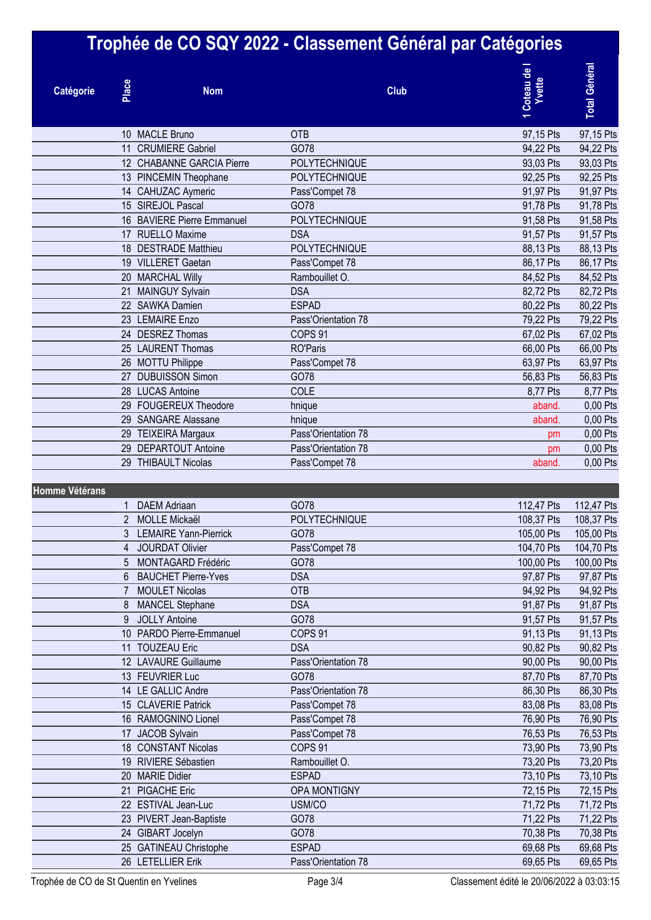|                |       |                                                  | Trophée de CO SQY 2022 - Classement Général par Catégories |                        |                        |
|----------------|-------|--------------------------------------------------|------------------------------------------------------------|------------------------|------------------------|
| Catégorie      | Place | <b>Nom</b>                                       | <b>Club</b>                                                | 1 Coteau de<br>Yvette  | <b>Total Général</b>   |
|                |       | 10 MACLE Bruno                                   | <b>OTB</b>                                                 | 97,15 Pts              | 97,15 Pts              |
|                | 11    | <b>CRUMIERE Gabriel</b>                          | GO78                                                       | 94,22 Pts              | 94,22 Pts              |
|                |       | 12 CHABANNE GARCIA Pierre                        | POLYTECHNIQUE                                              | 93,03 Pts              | 93,03 Pts              |
|                |       | 13 PINCEMIN Theophane                            | POLYTECHNIQUE                                              | 92,25 Pts              | 92,25 Pts              |
|                | 14    | <b>CAHUZAC Aymeric</b>                           | Pass'Compet 78                                             | 91,97 Pts              | 91,97 Pts              |
|                |       | 15 SIREJOL Pascal                                | GO78                                                       | 91,78 Pts              | 91,78 Pts              |
|                | 16    | <b>BAVIERE Pierre Emmanuel</b>                   | POLYTECHNIQUE                                              | 91,58 Pts              | 91,58 Pts              |
|                |       | 17 RUELLO Maxime                                 | <b>DSA</b>                                                 | 91,57 Pts              | 91,57 Pts              |
|                |       | 18 DESTRADE Matthieu                             | POLYTECHNIQUE                                              | 88,13 Pts              | 88,13 Pts              |
|                |       | 19 VILLERET Gaetan                               | Pass'Compet 78                                             | 86,17 Pts              | 86,17 Pts              |
|                |       | 20 MARCHAL Willy                                 | Rambouillet O.                                             | 84,52 Pts              | 84,52 Pts              |
|                |       | 21 MAINGUY Sylvain                               | <b>DSA</b>                                                 | 82,72 Pts              | 82,72 Pts              |
|                |       | 22 SAWKA Damien                                  | <b>ESPAD</b>                                               | 80,22 Pts              | 80,22 Pts              |
|                |       | 23 LEMAIRE Enzo                                  | Pass'Orientation 78                                        | 79,22 Pts              | 79,22 Pts              |
|                |       | 24 DESREZ Thomas                                 | COPS <sub>91</sub>                                         | 67,02 Pts              | 67,02 Pts              |
|                |       | 25 LAURENT Thomas                                | <b>RO'Paris</b>                                            | 66,00 Pts              | 66,00 Pts              |
|                |       | 26 MOTTU Philippe                                | Pass'Compet 78                                             | 63,97 Pts              | 63,97 Pts              |
|                |       | 27 DUBUISSON Simon                               | GO78                                                       | 56,83 Pts              | 56,83 Pts              |
|                | 28    | <b>LUCAS Antoine</b>                             | COLE                                                       | 8,77 Pts               | 8,77 Pts               |
|                |       | 29 FOUGEREUX Theodore                            | hnique                                                     | aband.                 | 0,00 Pts               |
|                |       | 29 SANGARE Alassane                              | hnique                                                     | aband.                 | 0,00 Pts               |
|                |       | 29 TEIXEIRA Margaux                              | Pass'Orientation 78                                        | pm                     | 0,00 Pts               |
|                |       | 29 DEPARTOUT Antoine                             | Pass'Orientation 78                                        | pm                     | 0,00 Pts               |
|                | 29    | <b>THIBAULT Nicolas</b>                          | Pass'Compet 78                                             | aband.                 | 0,00 Pts               |
|                |       |                                                  |                                                            |                        |                        |
| Homme Vétérans |       |                                                  |                                                            |                        |                        |
|                | 1     | <b>DAEM Adriaan</b>                              | GO78                                                       | 112,47 Pts             | 112,47 Pts             |
|                |       | 2 MOLLE Mickaël                                  | POLYTECHNIQUE                                              | 108,37 Pts             | 108,37 Pts             |
|                | 3     | <b>LEMAIRE Yann-Pierrick</b>                     | GO78                                                       | 105,00 Pts             | 105,00 Pts             |
|                | 4     | <b>JOURDAT Olivier</b>                           | Pass'Compet 78                                             | 104,70 Pts             | 104,70 Pts             |
|                | 5     | <b>MONTAGARD Frédéric</b>                        | GO78                                                       | 100,00 Pts             | 100,00 Pts             |
|                | 6     | <b>BAUCHET Pierre-Yves</b>                       | <b>DSA</b>                                                 | 97,87 Pts              | 97,87 Pts              |
|                | 7     | <b>MOULET Nicolas</b>                            | OTB                                                        | 94,92 Pts              | 94,92 Pts              |
|                | 8     | <b>MANCEL Stephane</b>                           | <b>DSA</b>                                                 | 91,87 Pts              | 91,87 Pts              |
|                | 9     | <b>JOLLY Antoine</b><br>10 PARDO Pierre-Emmanuel | GO78<br>COPS 91                                            | 91,57 Pts<br>91,13 Pts | 91,57 Pts              |
|                |       | 11 TOUZEAU Eric                                  | <b>DSA</b>                                                 |                        | 91,13 Pts              |
|                |       | 12 LAVAURE Guillaume                             | Pass'Orientation 78                                        | 90,82 Pts<br>90,00 Pts | 90,82 Pts<br>90,00 Pts |
|                |       | 13 FEUVRIER Luc                                  | GO78                                                       | 87,70 Pts              | 87,70 Pts              |
|                |       | 14 LE GALLIC Andre                               | Pass'Orientation 78                                        | 86,30 Pts              | 86,30 Pts              |
|                |       | 15 CLAVERIE Patrick                              | Pass'Compet 78                                             | 83,08 Pts              | 83,08 Pts              |
|                |       | 16 RAMOGNINO Lionel                              | Pass'Compet 78                                             | 76,90 Pts              | 76,90 Pts              |
|                |       | 17 JACOB Sylvain                                 | Pass'Compet 78                                             | 76,53 Pts              | 76,53 Pts              |
|                |       | 18 CONSTANT Nicolas                              | COPS 91                                                    | 73,90 Pts              | 73,90 Pts              |
|                |       | 19 RIVIERE Sébastien                             | Rambouillet O.                                             | 73,20 Pts              | 73,20 Pts              |
|                |       | 20 MARIE Didier                                  | <b>ESPAD</b>                                               | 73,10 Pts              | 73,10 Pts              |
|                |       | 21 PIGACHE Eric                                  | OPA MONTIGNY                                               | 72,15 Pts              | 72,15 Pts              |
|                |       | 22 ESTIVAL Jean-Luc                              | USM/CO                                                     | 71,72 Pts              | 71,72 Pts              |
|                |       | 23 PIVERT Jean-Baptiste                          | GO78                                                       | 71,22 Pts              | 71,22 Pts              |
|                |       | 24 GIBART Jocelyn                                | GO78                                                       | 70,38 Pts              | 70,38 Pts              |
|                |       | 25 GATINEAU Christophe                           | <b>ESPAD</b>                                               | 69,68 Pts              | 69,68 Pts              |
|                |       | 26 LETELLIER Erik                                | Pass'Orientation 78                                        | 69,65 Pts              | 69,65 Pts              |
|                |       |                                                  |                                                            |                        |                        |